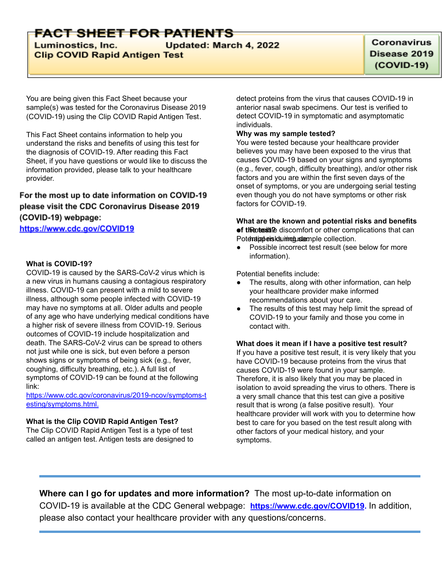# FACT SHEET FOR PATIENTS

Luminostics, Inc. Updated: March 4, 2022 **Clip COVID Rapid Antigen Test** 

You are being given this Fact Sheet because your sample(s) was tested for the Coronavirus Disease 2019 (COVID-19) using the Clip COVID Rapid Antigen Test.

This Fact Sheet contains information to help you understand the risks and benefits of using this test for the diagnosis of COVID-19. After reading this Fact Sheet, if you have questions or would like to discuss the information provided, please talk to your healthcare provider.

### For the most up to date information on COVID-19 please visit the CDC Coronavirus Disease 2019 (COVID-19) webpage:

https://www.cdc.gov/COVID19

### **What is COVID-19?**

COVID-19 is caused by the SARS-CoV-2 virus which is a new virus in humans causing a contagious respiratory illness. COVID-19 can present with a mild to severe illness, although some people infected with COVID-19 may have no symptoms at all. Older adults and people of any age who have underlying medical conditions have a higher risk of severe illness from COVID-19. Serious outcomes of COVID-19 include hospitalization and death. The SARS-CoV-2 virus can be spread to others not just while one is sick, but even before a person shows signs or symptoms of being sick (e.g., fever, coughing, difficulty breathing, etc.). A full list of symptoms of COVID-19 can be found at the following link:

[https://www.cdc.gov/coronavirus/2019-ncov/symptoms-t](https://www.cdc.gov/coronavirus/2019-ncov/symptoms-testing/symptoms.html) [esting/symptoms.html.](https://www.cdc.gov/coronavirus/2019-ncov/symptoms-testing/symptoms.html)

### **What is the Clip COVID Rapid Antigen Test?**

The Clip COVID Rapid Antigen Test is a type of test called an antigen test. Antigen tests are designed to detect proteins from the virus that causes COVID-19 in anterior nasal swab specimens. Our test is verified to detect COVID-19 in symptomatic and asymptomatic individuals.

#### **Why was my sample tested?**

You were tested because your healthcare provider believes you may have been exposed to the virus that causes COVID-19 based on your signs and symptoms (e.g., fever, cough, difficulty breathing), and/or other risk factors and you are within the first seven days of the onset of symptoms, or you are undergoing serial testing even though you do not have symptoms or other risk factors for COVID-19.

#### **What are the known and potential risks and benefits of the bushing discomfort or other complications that can** Potentian beisk summit ustample collection.

● Possible incorrect test result (see below for more information).

Potential benefits include:

- The results, along with other information, can help your healthcare provider make informed recommendations about your care.
- The results of this test may help limit the spread of COVID-19 to your family and those you come in contact with.

### **What does it mean if I have a positive test result?**

If you have a positive test result, it is very likely that you have COVID-19 because proteins from the virus that causes COVID-19 were found in your sample. Therefore, it is also likely that you may be placed in isolation to avoid spreading the virus to others. There is a very small chance that this test can give a positive result that is wrong (a false positive result). Your healthcare provider will work with you to determine how best to care for you based on the test result along with other factors of your medical history, and your symptoms.

**Where can I go for updates and more information?** The most up-to-date information on COVID-19 is available at the CDC General webpage: **[https://www.cdc.gov/COVID19](https://www.cdc.gov/nCoV).** In addition, please also contact your healthcare provider with any questions/concerns.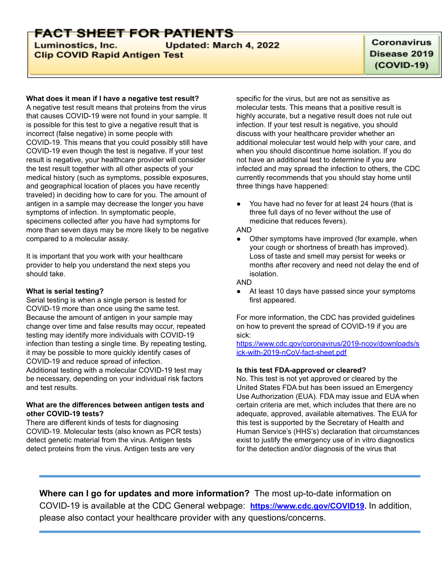# FACT SHEET FOR PATIENTS

Luminostics, Inc. Updated: March 4, 2022 **Clip COVID Rapid Antigen Test** 

#### **What does it mean if I have a negative test result?**

A negative test result means that proteins from the virus that causes COVID-19 were not found in your sample. It is possible for this test to give a negative result that is incorrect (false negative) in some people with COVID-19. This means that you could possibly still have COVID-19 even though the test is negative. If your test result is negative, your healthcare provider will consider the test result together with all other aspects of your medical history (such as symptoms, possible exposures, and geographical location of places you have recently traveled) in deciding how to care for you. The amount of antigen in a sample may decrease the longer you have symptoms of infection. In symptomatic people, specimens collected after you have had symptoms for more than seven days may be more likely to be negative compared to a molecular assay.

It is important that you work with your healthcare provider to help you understand the next steps you should take.

#### **What is serial testing?**

and test results.

Serial testing is when a single person is tested for COVID-19 more than once using the same test. Because the amount of antigen in your sample may change over time and false results may occur, repeated testing may identify more individuals with COVID-19 infection than testing a single time. By repeating testing, it may be possible to more quickly identify cases of COVID-19 and reduce spread of infection. Additional testing with a molecular COVID-19 test may be necessary, depending on your individual risk factors

### **What are the differences between antigen tests and other COVID-19 tests?**

There are different kinds of tests for diagnosing COVID-19. Molecular tests (also known as PCR tests) detect genetic material from the virus. Antigen tests detect proteins from the virus. Antigen tests are very

specific for the virus, but are not as sensitive as molecular tests. This means that a positive result is highly accurate, but a negative result does not rule out infection. If your test result is negative, you should discuss with your healthcare provider whether an additional molecular test would help with your care, and when you should discontinue home isolation. If you do not have an additional test to determine if you are infected and may spread the infection to others, the CDC currently recommends that you should stay home until three things have happened:

You have had no fever for at least 24 hours (that is three full days of no fever without the use of medicine that reduces fevers).

#### AND

Other symptoms have improved (for example, when your cough or shortness of breath has improved). Loss of taste and smell may persist for weeks or months after recovery and need not delay the end of isolation.

#### AND

At least 10 days have passed since your symptoms first appeared.

For more information, the CDC has provided guidelines on how to prevent the spread of COVID-19 if you are sick:

[https://www.cdc.gov/coronavirus/2019-ncov/downloads/s](https://www.cdc.gov/coronavirus/2019-ncov/downloads/sick-with-2019-nCoV-fact-sheet.pdf) [ick-with-2019-nCoV-fact-sheet.pdf](https://www.cdc.gov/coronavirus/2019-ncov/downloads/sick-with-2019-nCoV-fact-sheet.pdf)

#### **Is this test FDA-approved or cleared?**

No. This test is not yet approved or cleared by the United States FDA but has been issued an Emergency Use Authorization (EUA). FDA may issue and EUA when certain criteria are met, which includes that there are no adequate, approved, available alternatives. The EUA for this test is supported by the Secretary of Health and Human Service's (HHS's) declaration that circumstances exist to justify the emergency use of in vitro diagnostics for the detection and/or diagnosis of the virus that

**Where can I go for updates and more information?** The most up-to-date information on COVID-19 is available at the CDC General webpage: **[https://www.cdc.gov/COVID19](https://www.cdc.gov/nCoV).** In addition, please also contact your healthcare provider with any questions/concerns.